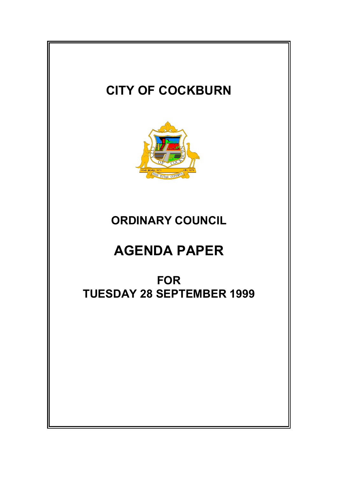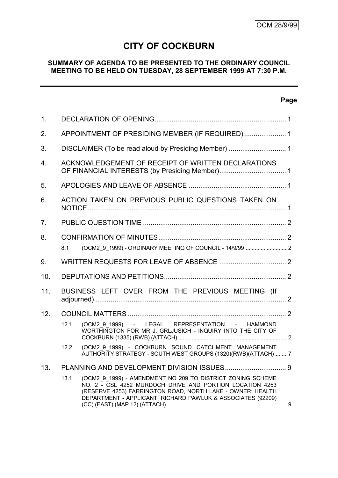# **CITY OF COCKBURN**

# **SUMMARY OF AGENDA TO BE PRESENTED TO THE ORDINARY COUNCIL MEETING TO BE HELD ON TUESDAY, 28 SEPTEMBER 1999 AT 7:30 P.M.**

# **Page**

 $\equiv$ 

| 1 <sub>1</sub> |                                                      |                                                                                                                                                                                                                                                     |  |  |
|----------------|------------------------------------------------------|-----------------------------------------------------------------------------------------------------------------------------------------------------------------------------------------------------------------------------------------------------|--|--|
| 2.             | APPOINTMENT OF PRESIDING MEMBER (IF REQUIRED) 1      |                                                                                                                                                                                                                                                     |  |  |
| 3.             | DISCLAIMER (To be read aloud by Presiding Member)  1 |                                                                                                                                                                                                                                                     |  |  |
| 4.             |                                                      | ACKNOWLEDGEMENT OF RECEIPT OF WRITTEN DECLARATIONS                                                                                                                                                                                                  |  |  |
| 5.             |                                                      |                                                                                                                                                                                                                                                     |  |  |
| 6.             |                                                      | ACTION TAKEN ON PREVIOUS PUBLIC QUESTIONS TAKEN ON                                                                                                                                                                                                  |  |  |
| 7 <sub>1</sub> |                                                      |                                                                                                                                                                                                                                                     |  |  |
| 8.             |                                                      |                                                                                                                                                                                                                                                     |  |  |
|                | 8.1                                                  |                                                                                                                                                                                                                                                     |  |  |
| 9.             |                                                      |                                                                                                                                                                                                                                                     |  |  |
| 10.            |                                                      |                                                                                                                                                                                                                                                     |  |  |
| 11.            | BUSINESS LEFT OVER FROM THE PREVIOUS MEETING (If     |                                                                                                                                                                                                                                                     |  |  |
| 12.            |                                                      |                                                                                                                                                                                                                                                     |  |  |
|                | 12.1                                                 | (OCM2 9 1999) - LEGAL REPRESENTATION - HAMMOND<br>WORTHINGTON FOR MR J. GRLJUSICH - INQUIRY INTO THE CITY OF                                                                                                                                        |  |  |
|                | 12.2                                                 | (OCM2_9_1999) - COCKBURN SOUND CATCHMENT MANAGEMENT<br>AUTHORITY STRATEGY - SOUTH WEST GROUPS (1320)(RWB)(ATTACH)7                                                                                                                                  |  |  |
| 13.            |                                                      |                                                                                                                                                                                                                                                     |  |  |
|                | 13.1                                                 | (OCM2 9 1999) - AMENDMENT NO 209 TO DISTRICT ZONING SCHEME<br>NO. 2 - CSL 4252 MURDOCH DRIVE AND PORTION LOCATION 4253<br>(RESERVE 4253) FARRINGTON ROAD, NORTH LAKE - OWNER: HEALTH<br>DEPARTMENT - APPLICANT: RICHARD PAWLUK & ASSOCIATES (92209) |  |  |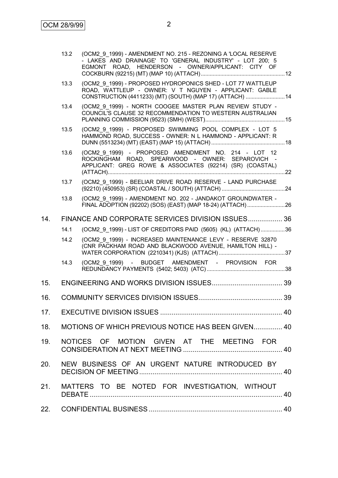|     | 13.2 | (OCM2 9 1999) - AMENDMENT NO. 215 - REZONING A 'LOCAL RESERVE<br>- LAKES AND DRAINAGE' TO 'GENERAL INDUSTRY' - LOT 200; 5<br>EGMONT ROAD, HENDERSON - OWNER/APPLICANT: CITY OF   |  |
|-----|------|----------------------------------------------------------------------------------------------------------------------------------------------------------------------------------|--|
|     | 13.3 | (OCM2_9_1999) - PROPOSED HYDROPONICS SHED - LOT 77 WATTLEUP<br>ROAD, WATTLEUP - OWNER: V T NGUYEN - APPLICANT: GABLE<br>CONSTRUCTION (4411233) (MT) (SOUTH) (MAP 17) (ATTACH) 14 |  |
|     | 13.4 | (OCM2 9 1999) - NORTH COOGEE MASTER PLAN REVIEW STUDY -<br>COUNCIL'S CLAUSE 32 RECOMMENDATION TO WESTERN AUSTRALIAN                                                              |  |
|     | 13.5 | (OCM2 9 1999) - PROPOSED SWIMMING POOL COMPLEX - LOT 5<br>HAMMOND ROAD, SUCCESS - OWNER: N L HAMMOND - APPLICANT: R                                                              |  |
|     | 13.6 | (OCM2_9_1999) - PROPOSED AMENDMENT NO. 214 - LOT 12<br>ROCKINGHAM ROAD, SPEARWOOD - OWNER: SEPAROVICH -<br>APPLICANT: GREG ROWE & ASSOCIATES (92214) (SR) (COASTAL)              |  |
|     | 13.7 | (OCM2 9 1999) - BEELIAR DRIVE ROAD RESERVE - LAND PURCHASE                                                                                                                       |  |
|     | 13.8 | (OCM2_9_1999) - AMENDMENT NO. 202 - JANDAKOT GROUNDWATER -                                                                                                                       |  |
| 14. |      | FINANCE AND CORPORATE SERVICES DIVISION ISSUES 36                                                                                                                                |  |
|     | 14.1 | (OCM2 9 1999) - LIST OF CREDITORS PAID (5605) (KL) (ATTACH)36                                                                                                                    |  |
|     | 14.2 | (OCM2 9 1999) - INCREASED MAINTENANCE LEVY - RESERVE 32870<br>(CNR PACKHAM ROAD AND BLACKWOOD AVENUE, HAMILTON HILL) -                                                           |  |
|     | 14.3 | (OCM2 9 1999) - BUDGET AMENDMENT - PROVISION FOR                                                                                                                                 |  |
| 15. |      |                                                                                                                                                                                  |  |
| 16. |      |                                                                                                                                                                                  |  |
|     |      |                                                                                                                                                                                  |  |
| 18. |      | MOTIONS OF WHICH PREVIOUS NOTICE HAS BEEN GIVEN 40                                                                                                                               |  |
| 19. |      | NOTICES OF MOTION GIVEN AT THE MEETING FOR                                                                                                                                       |  |
| 20. |      | NEW BUSINESS OF AN URGENT NATURE INTRODUCED BY                                                                                                                                   |  |
| 21. |      | MATTERS TO BE NOTED FOR INVESTIGATION, WITHOUT                                                                                                                                   |  |
| 22. |      |                                                                                                                                                                                  |  |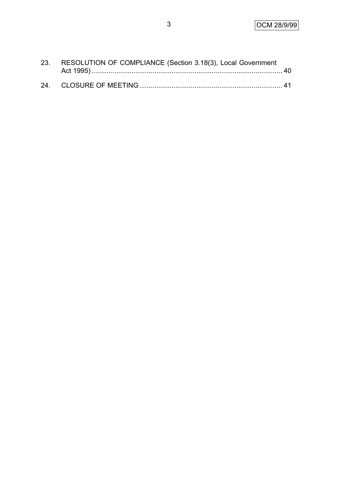| 23. RESOLUTION OF COMPLIANCE (Section 3.18(3), Local Government |  |
|-----------------------------------------------------------------|--|
|                                                                 |  |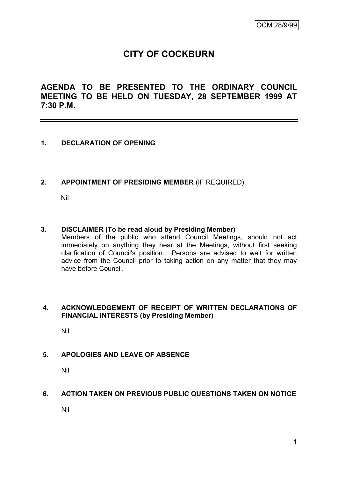# **CITY OF COCKBURN**

**AGENDA TO BE PRESENTED TO THE ORDINARY COUNCIL MEETING TO BE HELD ON TUESDAY, 28 SEPTEMBER 1999 AT 7:30 P.M.**

## **1. DECLARATION OF OPENING**

## **2. APPOINTMENT OF PRESIDING MEMBER** (IF REQUIRED)

Nil

## **3. DISCLAIMER (To be read aloud by Presiding Member)**

Members of the public who attend Council Meetings, should not act immediately on anything they hear at the Meetings, without first seeking clarification of Council's position. Persons are advised to wait for written advice from the Council prior to taking action on any matter that they may have before Council.

## **4. ACKNOWLEDGEMENT OF RECEIPT OF WRITTEN DECLARATIONS OF FINANCIAL INTERESTS (by Presiding Member)**

Nil

## **5. APOLOGIES AND LEAVE OF ABSENCE**

Nil

## **6. ACTION TAKEN ON PREVIOUS PUBLIC QUESTIONS TAKEN ON NOTICE**

Nil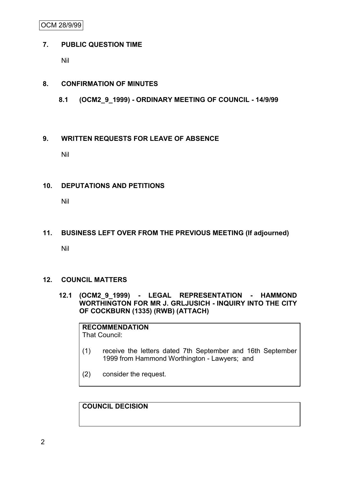OCM 28/9/99

## **7. PUBLIC QUESTION TIME**

Nil

# **8. CONFIRMATION OF MINUTES**

**8.1 (OCM2\_9\_1999) - ORDINARY MEETING OF COUNCIL - 14/9/99**

## **9. WRITTEN REQUESTS FOR LEAVE OF ABSENCE**

Nil

## **10. DEPUTATIONS AND PETITIONS**

Nil

# **11. BUSINESS LEFT OVER FROM THE PREVIOUS MEETING (If adjourned)**

Nil

# **12. COUNCIL MATTERS**

**12.1 (OCM2\_9\_1999) - LEGAL REPRESENTATION - HAMMOND WORTHINGTON FOR MR J. GRLJUSICH - INQUIRY INTO THE CITY OF COCKBURN (1335) (RWB) (ATTACH)**

# **RECOMMENDATION**

That Council:

- (1) receive the letters dated 7th September and 16th September 1999 from Hammond Worthington - Lawyers; and
- (2) consider the request.

**COUNCIL DECISION**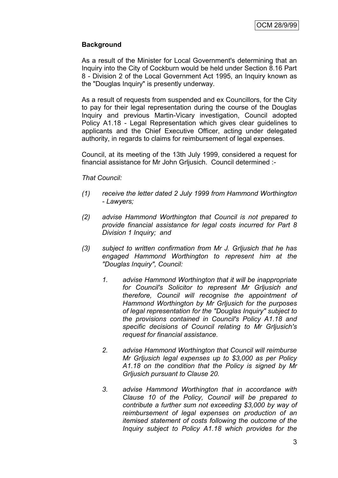## **Background**

As a result of the Minister for Local Government's determining that an Inquiry into the City of Cockburn would be held under Section 8.16 Part 8 - Division 2 of the Local Government Act 1995, an Inquiry known as the "Douglas Inquiry" is presently underway.

As a result of requests from suspended and ex Councillors, for the City to pay for their legal representation during the course of the Douglas Inquiry and previous Martin-Vicary investigation, Council adopted Policy A1.18 - Legal Representation which gives clear guidelines to applicants and the Chief Executive Officer, acting under delegated authority, in regards to claims for reimbursement of legal expenses.

Council, at its meeting of the 13th July 1999, considered a request for financial assistance for Mr John Grljusich. Council determined :-

#### *That Council:*

- *(1) receive the letter dated 2 July 1999 from Hammond Worthington - Lawyers;*
- *(2) advise Hammond Worthington that Council is not prepared to provide financial assistance for legal costs incurred for Part 8 Division 1 Inquiry; and*
- *(3) subject to written confirmation from Mr J. Grljusich that he has engaged Hammond Worthington to represent him at the "Douglas Inquiry", Council:*
	- *1. advise Hammond Worthington that it will be inappropriate for Council's Solicitor to represent Mr Grljusich and therefore, Council will recognise the appointment of Hammond Worthington by Mr Grljusich for the purposes of legal representation for the "Douglas Inquiry" subject to the provisions contained in Council's Policy A1.18 and specific decisions of Council relating to Mr Grljusich's request for financial assistance.*
	- *2. advise Hammond Worthington that Council will reimburse Mr Grljusich legal expenses up to \$3,000 as per Policy A1.18 on the condition that the Policy is signed by Mr Grljusich pursuant to Clause 20.*
	- *3. advise Hammond Worthington that in accordance with Clause 10 of the Policy, Council will be prepared to contribute a further sum not exceeding \$3,000 by way of reimbursement of legal expenses on production of an itemised statement of costs following the outcome of the Inquiry subject to Policy A1.18 which provides for the*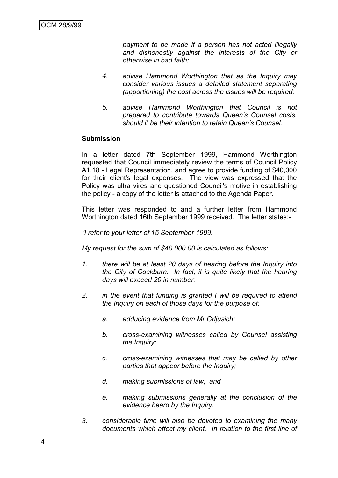*payment to be made if a person has not acted illegally and dishonestly against the interests of the City or otherwise in bad faith;*

- *4. advise Hammond Worthington that as the Inquiry may consider various issues a detailed statement separating (apportioning) the cost across the issues will be required;*
- *5. advise Hammond Worthington that Council is not prepared to contribute towards Queen's Counsel costs, should it be their intention to retain Queen's Counsel.*

#### **Submission**

In a letter dated 7th September 1999, Hammond Worthington requested that Council immediately review the terms of Council Policy A1.18 - Legal Representation, and agree to provide funding of \$40,000 for their client's legal expenses. The view was expressed that the Policy was ultra vires and questioned Council's motive in establishing the policy - a copy of the letter is attached to the Agenda Paper.

This letter was responded to and a further letter from Hammond Worthington dated 16th September 1999 received. The letter states:-

*"I refer to your letter of 15 September 1999.*

*My request for the sum of \$40,000.00 is calculated as follows:*

- *1. there will be at least 20 days of hearing before the Inquiry into the City of Cockburn. In fact, it is quite likely that the hearing days will exceed 20 in number;*
- *2. in the event that funding is granted I will be required to attend the Inquiry on each of those days for the purpose of:*
	- *a. adducing evidence from Mr Grljusich;*
	- *b. cross-examining witnesses called by Counsel assisting the Inquiry;*
	- *c. cross-examining witnesses that may be called by other parties that appear before the Inquiry;*
	- *d. making submissions of law; and*
	- *e. making submissions generally at the conclusion of the evidence heard by the Inquiry.*
- *3. considerable time will also be devoted to examining the many documents which affect my client. In relation to the first line of*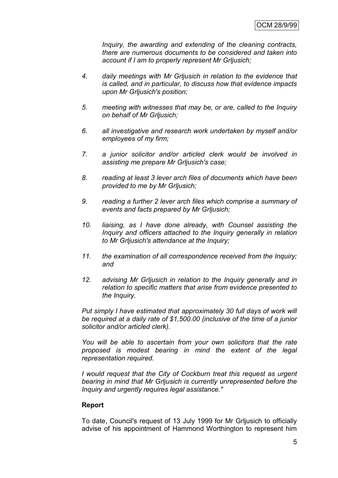*Inquiry, the awarding and extending of the cleaning contracts, there are numerous documents to be considered and taken into account if I am to properly represent Mr Grljusich;*

- *4. daily meetings with Mr Grljusich in relation to the evidence that is called, and in particular, to discuss how that evidence impacts upon Mr Grljusich's position;*
- *5. meeting with witnesses that may be, or are, called to the Inquiry on behalf of Mr Grljusich;*
- *6. all investigative and research work undertaken by myself and/or employees of my firm;*
- *7. a junior solicitor and/or articled clerk would be involved in assisting me prepare Mr Grljusich's case;*
- *8. reading at least 3 lever arch files of documents which have been provided to me by Mr Grljusich;*
- *9. reading a further 2 lever arch files which comprise a summary of events and facts prepared by Mr Grljusich;*
- *10. liaising, as I have done already, with Counsel assisting the Inquiry and officers attached to the Inquiry generally in relation to Mr Grljusich's attendance at the Inquiry;*
- *11. the examination of all correspondence received from the Inquiry; and*
- *12. advising Mr Grljusich in relation to the Inquiry generally and in relation to specific matters that arise from evidence presented to the Inquiry.*

*Put simply I have estimated that approximately 30 full days of work will be required at a daily rate of \$1,500.00 (inclusive of the time of a junior solicitor and/or articled clerk).*

*You will be able to ascertain from your own solicitors that the rate proposed is modest bearing in mind the extent of the legal representation required.*

*I would request that the City of Cockburn treat this request as urgent bearing in mind that Mr Grljusich is currently unrepresented before the Inquiry and urgently requires legal assistance."*

## **Report**

To date, Council's request of 13 July 1999 for Mr Grljusich to officially advise of his appointment of Hammond Worthington to represent him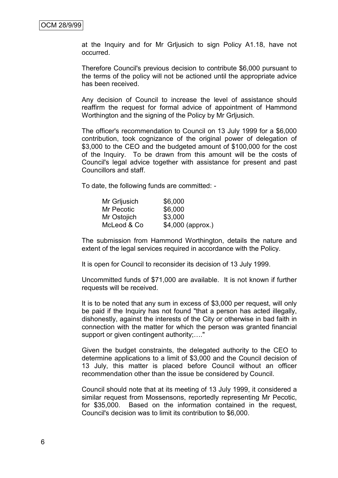at the Inquiry and for Mr Grljusich to sign Policy A1.18, have not occurred.

Therefore Council's previous decision to contribute \$6,000 pursuant to the terms of the policy will not be actioned until the appropriate advice has been received.

Any decision of Council to increase the level of assistance should reaffirm the request for formal advice of appointment of Hammond Worthington and the signing of the Policy by Mr Grljusich.

The officer's recommendation to Council on 13 July 1999 for a \$6,000 contribution, took cognizance of the original power of delegation of \$3,000 to the CEO and the budgeted amount of \$100,000 for the cost of the Inquiry. To be drawn from this amount will be the costs of Council's legal advice together with assistance for present and past Councillors and staff.

To date, the following funds are committed: -

| Mr Grijusich | \$6,000           |
|--------------|-------------------|
| Mr Pecotic   | \$6,000           |
| Mr Ostojich  | \$3,000           |
| McLeod & Co  | \$4,000 (approx.) |

The submission from Hammond Worthington, details the nature and extent of the legal services required in accordance with the Policy.

It is open for Council to reconsider its decision of 13 July 1999.

Uncommitted funds of \$71,000 are available. It is not known if further requests will be received.

It is to be noted that any sum in excess of \$3,000 per request, will only be paid if the Inquiry has not found "that a person has acted illegally, dishonestly, against the interests of the City or otherwise in bad faith in connection with the matter for which the person was granted financial support or given contingent authority;...."

Given the budget constraints, the delegated authority to the CEO to determine applications to a limit of \$3,000 and the Council decision of 13 July, this matter is placed before Council without an officer recommendation other than the issue be considered by Council.

Council should note that at its meeting of 13 July 1999, it considered a similar request from Mossensons, reportedly representing Mr Pecotic, for \$35,000. Based on the information contained in the request, Council's decision was to limit its contribution to \$6,000.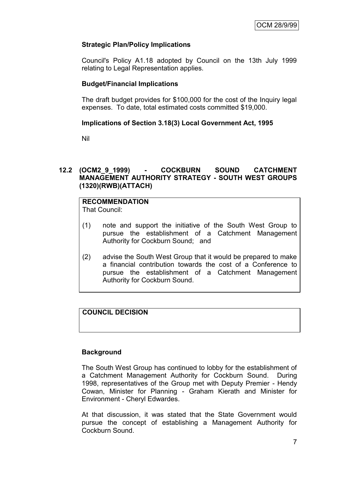# **Strategic Plan/Policy Implications**

Council's Policy A1.18 adopted by Council on the 13th July 1999 relating to Legal Representation applies.

## **Budget/Financial Implications**

The draft budget provides for \$100,000 for the cost of the Inquiry legal expenses. To date, total estimated costs committed \$19,000.

## **Implications of Section 3.18(3) Local Government Act, 1995**

Nil

## **12.2 (OCM2\_9\_1999) - COCKBURN SOUND CATCHMENT MANAGEMENT AUTHORITY STRATEGY - SOUTH WEST GROUPS (1320)(RWB)(ATTACH)**

# **RECOMMENDATION**

That Council:

- (1) note and support the initiative of the South West Group to pursue the establishment of a Catchment Management Authority for Cockburn Sound; and
- (2) advise the South West Group that it would be prepared to make a financial contribution towards the cost of a Conference to pursue the establishment of a Catchment Management Authority for Cockburn Sound.

# **COUNCIL DECISION**

## **Background**

The South West Group has continued to lobby for the establishment of a Catchment Management Authority for Cockburn Sound. During 1998, representatives of the Group met with Deputy Premier - Hendy Cowan, Minister for Planning - Graham Kierath and Minister for Environment - Cheryl Edwardes.

At that discussion, it was stated that the State Government would pursue the concept of establishing a Management Authority for Cockburn Sound.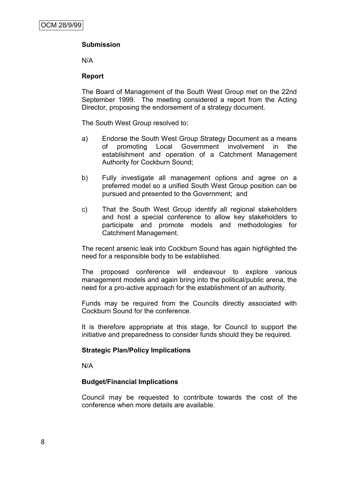# **Submission**

N/A

## **Report**

The Board of Management of the South West Group met on the 22nd September 1999. The meeting considered a report from the Acting Director, proposing the endorsement of a strategy document.

The South West Group resolved to:

- a) Endorse the South West Group Strategy Document as a means of promoting Local Government involvement in the establishment and operation of a Catchment Management Authority for Cockburn Sound;
- b) Fully investigate all management options and agree on a preferred model so a unified South West Group position can be pursued and presented to the Government; and
- c) That the South West Group identify all regional stakeholders and host a special conference to allow key stakeholders to participate and promote models and methodologies for Catchment Management.

The recent arsenic leak into Cockburn Sound has again highlighted the need for a responsible body to be established.

The proposed conference will endeavour to explore various management models and again bring into the political/public arena, the need for a pro-active approach for the establishment of an authority.

Funds may be required from the Councils directly associated with Cockburn Sound for the conference.

It is therefore appropriate at this stage, for Council to support the initiative and preparedness to consider funds should they be required.

## **Strategic Plan/Policy Implications**

N/A

## **Budget/Financial Implications**

Council may be requested to contribute towards the cost of the conference when more details are available.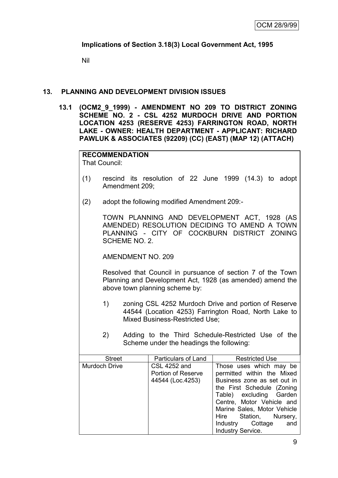## **Implications of Section 3.18(3) Local Government Act, 1995**

Nil

#### **13. PLANNING AND DEVELOPMENT DIVISION ISSUES**

**13.1 (OCM2\_9\_1999) - AMENDMENT NO 209 TO DISTRICT ZONING SCHEME NO. 2 - CSL 4252 MURDOCH DRIVE AND PORTION LOCATION 4253 (RESERVE 4253) FARRINGTON ROAD, NORTH LAKE - OWNER: HEALTH DEPARTMENT - APPLICANT: RICHARD PAWLUK & ASSOCIATES (92209) (CC) (EAST) (MAP 12) (ATTACH)**

**RECOMMENDATION** That Council:

- (1) rescind its resolution of 22 June 1999 (14.3) to adopt Amendment 209;
- (2) adopt the following modified Amendment 209:-

TOWN PLANNING AND DEVELOPMENT ACT, 1928 (AS AMENDED) RESOLUTION DECIDING TO AMEND A TOWN PLANNING - CITY OF COCKBURN DISTRICT ZONING SCHEME NO. 2.

AMENDMENT NO. 209

Resolved that Council in pursuance of section 7 of the Town Planning and Development Act, 1928 (as amended) amend the above town planning scheme by:

- 1) zoning CSL 4252 Murdoch Drive and portion of Reserve 44544 (Location 4253) Farrington Road, North Lake to Mixed Business-Restricted Use;
- 2) Adding to the Third Schedule-Restricted Use of the Scheme under the headings the following:

| Particulars of Land | <b>Restricted Use</b>       |
|---------------------|-----------------------------|
| CSL 4252 and        | Those uses which may be     |
| Portion of Reserve  | permitted within the Mixed  |
| 44544 (Loc.4253)    | Business zone as set out in |
|                     | the First Schedule (Zoning  |
|                     | Table) excluding Garden     |
|                     | Centre, Motor Vehicle and   |
|                     | Marine Sales, Motor Vehicle |
|                     | Hire Station, Nursery,      |
|                     | Industry Cottage<br>and     |
|                     | <b>Industry Service.</b>    |
|                     |                             |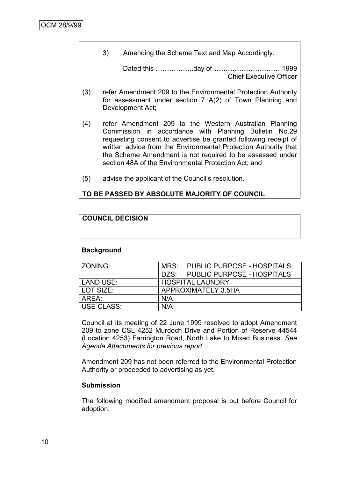3) Amending the Scheme Text and Map Accordingly.

Dated this ……………..day of………………………… 1999 Chief Executive Officer

- (3) refer Amendment 209 to the Environmental Protection Authority for assessment under section 7 A(2) of Town Planning and Development Act;
- (4) refer Amendment 209 to the Western Australian Planning Commission in accordance with Planning Bulletin No.29 requesting consent to advertise be granted following receipt of written advice from the Environmental Protection Authority that the Scheme Amendment is not required to be assessed under section 48A of the Environmental Protection Act; and
- (5) advise the applicant of the Council"s resolution.

## **TO BE PASSED BY ABSOLUTE MAJORITY OF COUNCIL**

## **COUNCIL DECISION**

#### **Background**

| ZONING:    | MRS:                    | PUBLIC PURPOSE - HOSPITALS |  |
|------------|-------------------------|----------------------------|--|
|            | DZS:                    | PUBLIC PURPOSE - HOSPITALS |  |
| LAND USE:  | <b>HOSPITAL LAUNDRY</b> |                            |  |
| LOT SIZE:  | APPROXIMATELY 3.5HA     |                            |  |
| AREA:      | N/A                     |                            |  |
| USE CLASS: | N/A                     |                            |  |

Council at its meeting of 22 June 1999 resolved to adopt Amendment 209 to zone CSL 4252 Murdoch Drive and Portion of Reserve 44544 (Location 4253) Farrington Road, North Lake to Mixed Business. *See Agenda Attachments for previous report.*

Amendment 209 has not been referred to the Environmental Protection Authority or proceeded to advertising as yet.

## **Submission**

The following modified amendment proposal is put before Council for adoption.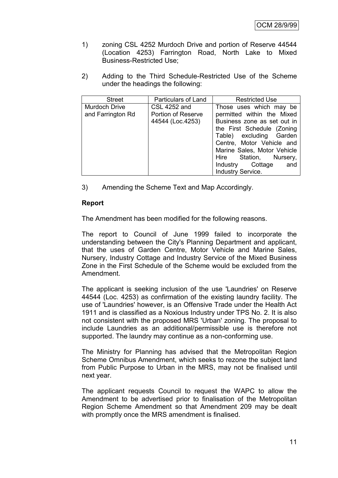- 1) zoning CSL 4252 Murdoch Drive and portion of Reserve 44544 (Location 4253) Farrington Road, North Lake to Mixed Business-Restricted Use;
- 2) Adding to the Third Schedule-Restricted Use of the Scheme under the headings the following:

| <b>Street</b>                             | Particulars of Land                                    | <b>Restricted Use</b>                                                                                                                                                                                                                                       |
|-------------------------------------------|--------------------------------------------------------|-------------------------------------------------------------------------------------------------------------------------------------------------------------------------------------------------------------------------------------------------------------|
| <b>Murdoch Drive</b><br>and Farrington Rd | CSL 4252 and<br>Portion of Reserve<br>44544 (Loc.4253) | Those uses which may be<br>permitted within the Mixed<br>Business zone as set out in<br>the First Schedule (Zoning<br>Table) excluding Garden<br>Centre, Motor Vehicle and<br>Marine Sales, Motor Vehicle<br>Hire Station, Nursery,<br>Industry Cottage and |
|                                           |                                                        | Industry Service.                                                                                                                                                                                                                                           |

3) Amending the Scheme Text and Map Accordingly.

## **Report**

The Amendment has been modified for the following reasons.

The report to Council of June 1999 failed to incorporate the understanding between the City's Planning Department and applicant, that the uses of Garden Centre, Motor Vehicle and Marine Sales, Nursery, Industry Cottage and Industry Service of the Mixed Business Zone in the First Schedule of the Scheme would be excluded from the Amendment.

The applicant is seeking inclusion of the use 'Laundries' on Reserve 44544 (Loc. 4253) as confirmation of the existing laundry facility. The use of 'Laundries' however, is an Offensive Trade under the Health Act 1911 and is classified as a Noxious Industry under TPS No. 2. It is also not consistent with the proposed MRS 'Urban' zoning. The proposal to include Laundries as an additional/permissible use is therefore not supported. The laundry may continue as a non-conforming use.

The Ministry for Planning has advised that the Metropolitan Region Scheme Omnibus Amendment, which seeks to rezone the subject land from Public Purpose to Urban in the MRS, may not be finalised until next year.

The applicant requests Council to request the WAPC to allow the Amendment to be advertised prior to finalisation of the Metropolitan Region Scheme Amendment so that Amendment 209 may be dealt with promptly once the MRS amendment is finalised.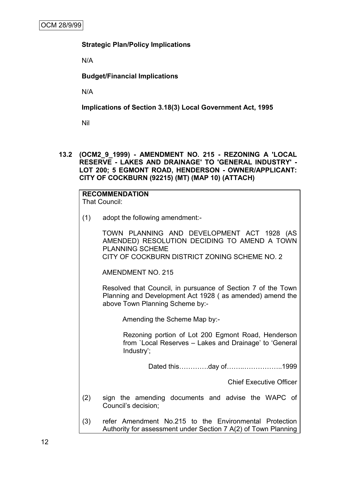## **Strategic Plan/Policy Implications**

N/A

**Budget/Financial Implications**

N/A

**Implications of Section 3.18(3) Local Government Act, 1995**

Nil

**13.2 (OCM2\_9\_1999) - AMENDMENT NO. 215 - REZONING A 'LOCAL RESERVE - LAKES AND DRAINAGE' TO 'GENERAL INDUSTRY' - LOT 200; 5 EGMONT ROAD, HENDERSON - OWNER/APPLICANT: CITY OF COCKBURN (92215) (MT) (MAP 10) (ATTACH)**

|     | <b>RECOMMENDATION</b><br><b>That Council:</b>                                                                                                                         |  |  |  |  |  |
|-----|-----------------------------------------------------------------------------------------------------------------------------------------------------------------------|--|--|--|--|--|
| (1) | adopt the following amendment:-                                                                                                                                       |  |  |  |  |  |
|     | TOWN PLANNING AND DEVELOPMENT ACT 1928 (AS<br>AMENDED) RESOLUTION DECIDING TO AMEND A TOWN<br><b>PLANNING SCHEME</b><br>CITY OF COCKBURN DISTRICT ZONING SCHEME NO. 2 |  |  |  |  |  |
|     | <b>AMENDMENT NO. 215</b>                                                                                                                                              |  |  |  |  |  |
|     | Resolved that Council, in pursuance of Section 7 of the Town<br>Planning and Development Act 1928 (as amended) amend the<br>above Town Planning Scheme by:-           |  |  |  |  |  |
|     | Amending the Scheme Map by:-                                                                                                                                          |  |  |  |  |  |
|     | Rezoning portion of Lot 200 Egmont Road, Henderson<br>from `Local Reserves - Lakes and Drainage' to 'General<br>Industry';                                            |  |  |  |  |  |
|     | Dated thisday of1999                                                                                                                                                  |  |  |  |  |  |
|     | <b>Chief Executive Officer</b>                                                                                                                                        |  |  |  |  |  |
| (2) | sign the amending documents and advise the WAPC of<br>Council's decision;                                                                                             |  |  |  |  |  |
| (3) | refer Amendment No.215 to the Environmental Protection<br>Authority for assessment under Section 7 A(2) of Town Planning                                              |  |  |  |  |  |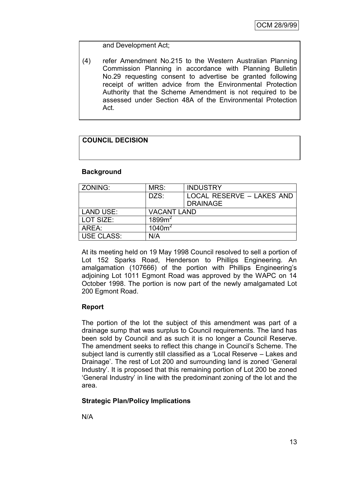## and Development Act;

(4) refer Amendment No.215 to the Western Australian Planning Commission Planning in accordance with Planning Bulletin No.29 requesting consent to advertise be granted following receipt of written advice from the Environmental Protection Authority that the Scheme Amendment is not required to be assessed under Section 48A of the Environmental Protection Act.

# **COUNCIL DECISION**

## **Background**

| ZONING:           | MRS:               | <b>INDUSTRY</b>                              |
|-------------------|--------------------|----------------------------------------------|
|                   | DZS:               | LOCAL RESERVE - LAKES AND<br><b>DRAINAGE</b> |
|                   |                    |                                              |
| <b>LAND USE:</b>  | <b>VACANT LAND</b> |                                              |
| LOT SIZE:         | 1899m <sup>2</sup> |                                              |
| AREA:             | $1040m^2$          |                                              |
| <b>USE CLASS:</b> | N/A                |                                              |

At its meeting held on 19 May 1998 Council resolved to sell a portion of Lot 152 Sparks Road, Henderson to Phillips Engineering. An amalgamation (107666) of the portion with Phillips Engineering"s adjoining Lot 1011 Egmont Road was approved by the WAPC on 14 October 1998. The portion is now part of the newly amalgamated Lot 200 Egmont Road.

## **Report**

The portion of the lot the subject of this amendment was part of a drainage sump that was surplus to Council requirements. The land has been sold by Council and as such it is no longer a Council Reserve. The amendment seeks to reflect this change in Council"s Scheme. The subject land is currently still classified as a "Local Reserve – Lakes and Drainage'. The rest of Lot 200 and surrounding land is zoned 'General Industry". It is proposed that this remaining portion of Lot 200 be zoned "General Industry" in line with the predominant zoning of the lot and the area.

# **Strategic Plan/Policy Implications**

N/A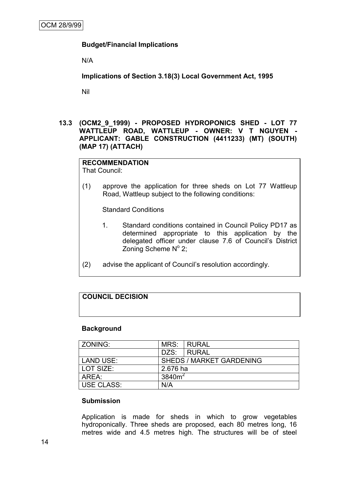## **Budget/Financial Implications**

N/A

**Implications of Section 3.18(3) Local Government Act, 1995**

Nil

## **13.3 (OCM2\_9\_1999) - PROPOSED HYDROPONICS SHED - LOT 77 WATTLEUP ROAD, WATTLEUP - OWNER: V T NGUYEN - APPLICANT: GABLE CONSTRUCTION (4411233) (MT) (SOUTH) (MAP 17) (ATTACH)**

# **RECOMMENDATION**

That Council:

(1) approve the application for three sheds on Lot 77 Wattleup Road, Wattleup subject to the following conditions:

Standard Conditions

- 1. Standard conditions contained in Council Policy PD17 as determined appropriate to this application by the delegated officer under clause 7.6 of Council"s District Zoning Scheme  $N^{\circ}$  2;
- (2) advise the applicant of Council"s resolution accordingly.

# **COUNCIL DECISION**

#### **Background**

| ZONING:    | MRS:                            | <b>RURAL</b> |  |
|------------|---------------------------------|--------------|--|
|            | DZS:                            | RURAL        |  |
| LAND USE:  | <b>SHEDS / MARKET GARDENING</b> |              |  |
| LOT SIZE:  | 2.676 ha                        |              |  |
| AREA:      | 3840 $m2$                       |              |  |
| USE CLASS: | N/A                             |              |  |

#### **Submission**

Application is made for sheds in which to grow vegetables hydroponically. Three sheds are proposed, each 80 metres long, 16 metres wide and 4.5 metres high. The structures will be of steel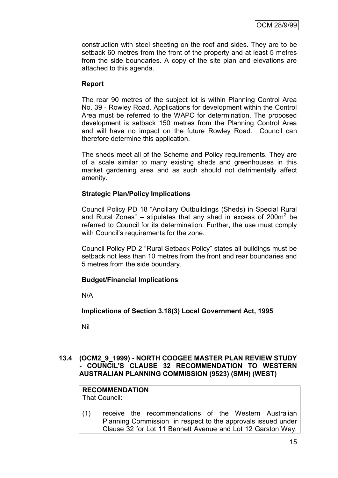construction with steel sheeting on the roof and sides. They are to be setback 60 metres from the front of the property and at least 5 metres from the side boundaries. A copy of the site plan and elevations are attached to this agenda.

## **Report**

The rear 90 metres of the subject lot is within Planning Control Area No. 39 - Rowley Road. Applications for development within the Control Area must be referred to the WAPC for determination. The proposed development is setback 150 metres from the Planning Control Area and will have no impact on the future Rowley Road. Council can therefore determine this application.

The sheds meet all of the Scheme and Policy requirements. They are of a scale similar to many existing sheds and greenhouses in this market gardening area and as such should not detrimentally affect amenity.

## **Strategic Plan/Policy Implications**

Council Policy PD 18 "Ancillary Outbuildings (Sheds) in Special Rural and Rural Zones"  $-$  stipulates that any shed in excess of 200 $m<sup>2</sup>$  be referred to Council for its determination. Further, the use must comply with Council's requirements for the zone.

Council Policy PD 2 "Rural Setback Policy" states all buildings must be setback not less than 10 metres from the front and rear boundaries and 5 metres from the side boundary.

## **Budget/Financial Implications**

N/A

**Implications of Section 3.18(3) Local Government Act, 1995**

Nil

## **13.4 (OCM2\_9\_1999) - NORTH COOGEE MASTER PLAN REVIEW STUDY - COUNCIL'S CLAUSE 32 RECOMMENDATION TO WESTERN AUSTRALIAN PLANNING COMMISSION (9523) (SMH) (WEST)**

#### **RECOMMENDATION** That Council:

(1) receive the recommendations of the Western Australian Planning Commission in respect to the approvals issued under Clause 32 for Lot 11 Bennett Avenue and Lot 12 Garston Way,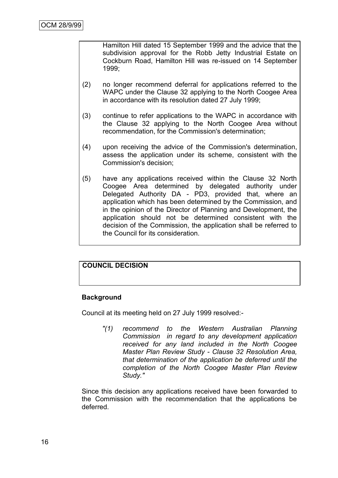Hamilton Hill dated 15 September 1999 and the advice that the subdivision approval for the Robb Jetty Industrial Estate on Cockburn Road, Hamilton Hill was re-issued on 14 September 1999;

- (2) no longer recommend deferral for applications referred to the WAPC under the Clause 32 applying to the North Coogee Area in accordance with its resolution dated 27 July 1999;
- (3) continue to refer applications to the WAPC in accordance with the Clause 32 applying to the North Coogee Area without recommendation, for the Commission's determination;
- (4) upon receiving the advice of the Commission's determination, assess the application under its scheme, consistent with the Commission's decision;
- (5) have any applications received within the Clause 32 North Coogee Area determined by delegated authority under Delegated Authority DA - PD3, provided that, where an application which has been determined by the Commission, and in the opinion of the Director of Planning and Development, the application should not be determined consistent with the decision of the Commission, the application shall be referred to the Council for its consideration.

## **COUNCIL DECISION**

## **Background**

Council at its meeting held on 27 July 1999 resolved:-

*"(1) recommend to the Western Australian Planning Commission in regard to any development application received for any land included in the North Coogee Master Plan Review Study - Clause 32 Resolution Area, that determination of the application be deferred until the completion of the North Coogee Master Plan Review Study."*

Since this decision any applications received have been forwarded to the Commission with the recommendation that the applications be deferred.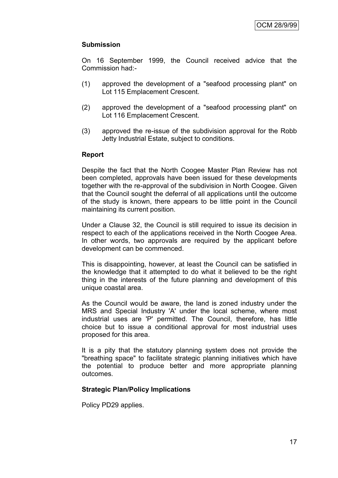## **Submission**

On 16 September 1999, the Council received advice that the Commission had:-

- (1) approved the development of a "seafood processing plant" on Lot 115 Emplacement Crescent.
- (2) approved the development of a "seafood processing plant" on Lot 116 Emplacement Crescent.
- (3) approved the re-issue of the subdivision approval for the Robb Jetty Industrial Estate, subject to conditions.

## **Report**

Despite the fact that the North Coogee Master Plan Review has not been completed, approvals have been issued for these developments together with the re-approval of the subdivision in North Coogee. Given that the Council sought the deferral of all applications until the outcome of the study is known, there appears to be little point in the Council maintaining its current position.

Under a Clause 32, the Council is still required to issue its decision in respect to each of the applications received in the North Coogee Area. In other words, two approvals are required by the applicant before development can be commenced.

This is disappointing, however, at least the Council can be satisfied in the knowledge that it attempted to do what it believed to be the right thing in the interests of the future planning and development of this unique coastal area.

As the Council would be aware, the land is zoned industry under the MRS and Special Industry 'A' under the local scheme, where most industrial uses are 'P' permitted. The Council, therefore, has little choice but to issue a conditional approval for most industrial uses proposed for this area.

It is a pity that the statutory planning system does not provide the "breathing space" to facilitate strategic planning initiatives which have the potential to produce better and more appropriate planning outcomes.

## **Strategic Plan/Policy Implications**

Policy PD29 applies.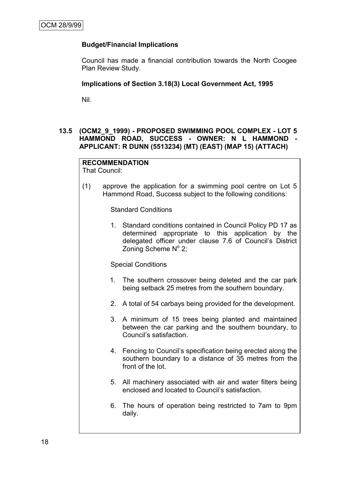# **Budget/Financial Implications**

Council has made a financial contribution towards the North Coogee Plan Review Study.

#### **Implications of Section 3.18(3) Local Government Act, 1995**

Nil.

## **13.5 (OCM2\_9\_1999) - PROPOSED SWIMMING POOL COMPLEX - LOT 5 HAMMOND ROAD, SUCCESS - OWNER: N L HAMMOND - APPLICANT: R DUNN (5513234) (MT) (EAST) (MAP 15) (ATTACH)**

## **RECOMMENDATION**

That Council:

(1) approve the application for a swimming pool centre on Lot 5 Hammond Road, Success subject to the following conditions:

Standard Conditions

1. Standard conditions contained in Council Policy PD 17 as determined appropriate to this application by the delegated officer under clause 7.6 of Council"s District Zoning Scheme  $N^{\circ}$  2;

Special Conditions

- 1. The southern crossover being deleted and the car park being setback 25 metres from the southern boundary.
- 2. A total of 54 carbays being provided for the development.
- 3. A minimum of 15 trees being planted and maintained between the car parking and the southern boundary, to Council"s satisfaction.
- 4. Fencing to Council"s specification being erected along the southern boundary to a distance of 35 metres from the front of the lot.
- 5. All machinery associated with air and water filters being enclosed and located to Council"s satisfaction.
- 6. The hours of operation being restricted to 7am to 9pm daily.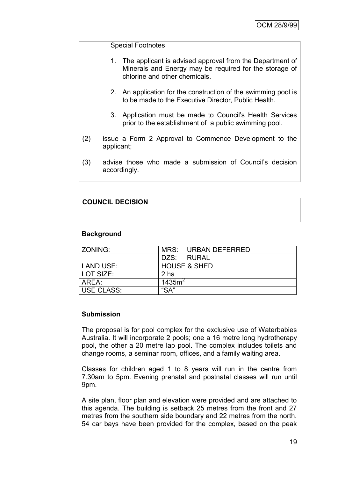#### Special Footnotes

- 1. The applicant is advised approval from the Department of Minerals and Energy may be required for the storage of chlorine and other chemicals.
- 2. An application for the construction of the swimming pool is to be made to the Executive Director, Public Health.
- 3. Application must be made to Council"s Health Services prior to the establishment of a public swimming pool.
- (2) issue a Form 2 Approval to Commence Development to the applicant;
- (3) advise those who made a submission of Council"s decision accordingly.

# **COUNCIL DECISION**

## **Background**

| l ZONING:                 |                         | MRS: I URBAN DEFERRED |  |  |
|---------------------------|-------------------------|-----------------------|--|--|
|                           | DZS:                    | I RURAL               |  |  |
| <b>LAND USE:</b>          | <b>HOUSE &amp; SHED</b> |                       |  |  |
| LOT SIZE:                 | 2 ha                    |                       |  |  |
| AREA:                     | 1435m <sup>2</sup>      |                       |  |  |
| <b>USE CLASS:</b><br>"SA" |                         |                       |  |  |

#### **Submission**

The proposal is for pool complex for the exclusive use of Waterbabies Australia. It will incorporate 2 pools; one a 16 metre long hydrotherapy pool, the other a 20 metre lap pool. The complex includes toilets and change rooms, a seminar room, offices, and a family waiting area.

Classes for children aged 1 to 8 years will run in the centre from 7.30am to 5pm. Evening prenatal and postnatal classes will run until 9pm.

A site plan, floor plan and elevation were provided and are attached to this agenda. The building is setback 25 metres from the front and 27 metres from the southern side boundary and 22 metres from the north. 54 car bays have been provided for the complex, based on the peak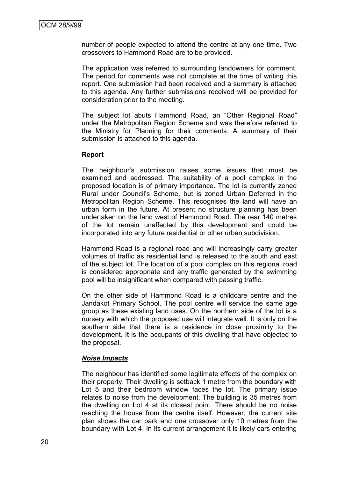number of people expected to attend the centre at any one time. Two crossovers to Hammond Road are to be provided.

The application was referred to surrounding landowners for comment. The period for comments was not complete at the time of writing this report. One submission had been received and a summary is attached to this agenda. Any further submissions received will be provided for consideration prior to the meeting.

The subject lot abuts Hammond Road, an "Other Regional Road" under the Metropolitan Region Scheme and was therefore referred to the Ministry for Planning for their comments. A summary of their submission is attached to this agenda.

#### **Report**

The neighbour"s submission raises some issues that must be examined and addressed. The suitability of a pool complex in the proposed location is of primary importance. The lot is currently zoned Rural under Council"s Scheme, but is zoned Urban Deferred in the Metropolitan Region Scheme. This recognises the land will have an urban form in the future. At present no structure planning has been undertaken on the land west of Hammond Road. The rear 140 metres of the lot remain unaffected by this development and could be incorporated into any future residential or other urban subdivision.

Hammond Road is a regional road and will increasingly carry greater volumes of traffic as residential land is released to the south and east of the subject lot. The location of a pool complex on this regional road is considered appropriate and any traffic generated by the swimming pool will be insignificant when compared with passing traffic.

On the other side of Hammond Road is a childcare centre and the Jandakot Primary School. The pool centre will service the same age group as these existing land uses. On the northern side of the lot is a nursery with which the proposed use will integrate well. It is only on the southern side that there is a residence in close proximity to the development. It is the occupants of this dwelling that have objected to the proposal.

## *Noise Impacts*

The neighbour has identified some legitimate effects of the complex on their property. Their dwelling is setback 1 metre from the boundary with Lot 5 and their bedroom window faces the lot. The primary issue relates to noise from the development. The building is 35 metres from the dwelling on Lot 4 at its closest point. There should be no noise reaching the house from the centre itself. However, the current site plan shows the car park and one crossover only 10 metres from the boundary with Lot 4. In its current arrangement it is likely cars entering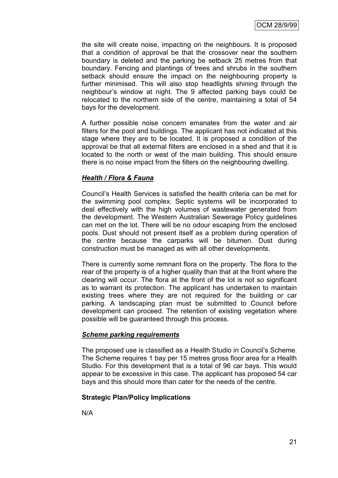the site will create noise, impacting on the neighbours. It is proposed that a condition of approval be that the crossover near the southern boundary is deleted and the parking be setback 25 metres from that boundary. Fencing and plantings of trees and shrubs in the southern setback should ensure the impact on the neighbouring property is further minimised. This will also stop headlights shining through the neighbour"s window at night. The 9 affected parking bays could be relocated to the northern side of the centre, maintaining a total of 54 bays for the development.

A further possible noise concern emanates from the water and air filters for the pool and buildings. The applicant has not indicated at this stage where they are to be located. It is proposed a condition of the approval be that all external filters are enclosed in a shed and that it is located to the north or west of the main building. This should ensure there is no noise impact from the filters on the neighbouring dwelling.

## *Health / Flora & Fauna*

Council"s Health Services is satisfied the health criteria can be met for the swimming pool complex. Septic systems will be incorporated to deal effectively with the high volumes of wastewater generated from the development. The Western Australian Sewerage Policy guidelines can met on the lot. There will be no odour escaping from the enclosed pools. Dust should not present itself as a problem during operation of the centre because the carparks will be bitumen. Dust during construction must be managed as with all other developments.

There is currently some remnant flora on the property. The flora to the rear of the property is of a higher quality than that at the front where the clearing will occur. The flora at the front of the lot is not so significant as to warrant its protection. The applicant has undertaken to maintain existing trees where they are not required for the building or car parking. A landscaping plan must be submitted to Council before development can proceed. The retention of existing vegetation where possible will be guaranteed through this process.

#### *Scheme parking requirements*

The proposed use is classified as a Health Studio in Council"s Scheme. The Scheme requires 1 bay per 15 metres gross floor area for a Health Studio. For this development that is a total of 96 car bays. This would appear to be excessive in this case. The applicant has proposed 54 car bays and this should more than cater for the needs of the centre.

## **Strategic Plan/Policy Implications**

N/A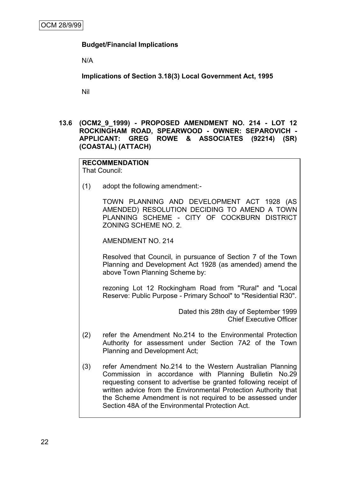## **Budget/Financial Implications**

N/A

**Implications of Section 3.18(3) Local Government Act, 1995**

Nil

**13.6 (OCM2\_9\_1999) - PROPOSED AMENDMENT NO. 214 - LOT 12 ROCKINGHAM ROAD, SPEARWOOD - OWNER: SEPAROVICH - APPLICANT: GREG ROWE & ASSOCIATES (92214) (SR) (COASTAL) (ATTACH)**

# **RECOMMENDATION**

That Council:

(1) adopt the following amendment:-

TOWN PLANNING AND DEVELOPMENT ACT 1928 (AS AMENDED) RESOLUTION DECIDING TO AMEND A TOWN PLANNING SCHEME - CITY OF COCKBURN DISTRICT ZONING SCHEME NO. 2.

AMENDMENT NO. 214

Resolved that Council, in pursuance of Section 7 of the Town Planning and Development Act 1928 (as amended) amend the above Town Planning Scheme by:

rezoning Lot 12 Rockingham Road from "Rural" and "Local Reserve: Public Purpose - Primary School" to "Residential R30".

> Dated this 28th day of September 1999 Chief Executive Officer

- (2) refer the Amendment No.214 to the Environmental Protection Authority for assessment under Section 7A2 of the Town Planning and Development Act;
- (3) refer Amendment No.214 to the Western Australian Planning Commission in accordance with Planning Bulletin No.29 requesting consent to advertise be granted following receipt of written advice from the Environmental Protection Authority that the Scheme Amendment is not required to be assessed under Section 48A of the Environmental Protection Act.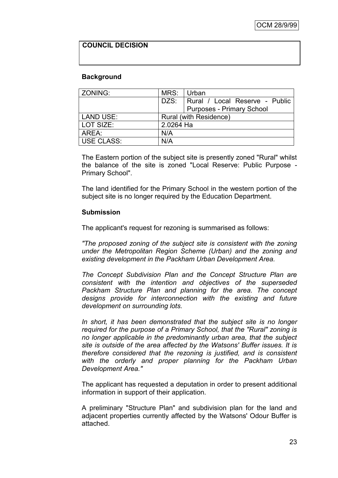# **COUNCIL DECISION**

#### **Background**

| ZONING:          | MRS: Urban |                                  |
|------------------|------------|----------------------------------|
|                  | DZS:       | Rural / Local Reserve - Public   |
|                  |            | <b>Purposes - Primary School</b> |
| <b>LAND USE:</b> |            | Rural (with Residence)           |
| LOT SIZE:        | 2.0264 Ha  |                                  |
| AREA:            | N/A        |                                  |
| USE CLASS:       | N/A        |                                  |

The Eastern portion of the subject site is presently zoned "Rural" whilst the balance of the site is zoned "Local Reserve: Public Purpose - Primary School".

The land identified for the Primary School in the western portion of the subject site is no longer required by the Education Department.

#### **Submission**

The applicant's request for rezoning is summarised as follows:

*"The proposed zoning of the subject site is consistent with the zoning under the Metropolitan Region Scheme (Urban) and the zoning and existing development in the Packham Urban Development Area.*

*The Concept Subdivision Plan and the Concept Structure Plan are consistent with the intention and objectives of the superseded Packham Structure Plan and planning for the area. The concept designs provide for interconnection with the existing and future development on surrounding lots.*

*In short, it has been demonstrated that the subject site is no longer required for the purpose of a Primary School, that the "Rural" zoning is no longer applicable in the predominantly urban area, that the subject site is outside of the area affected by the Watsons' Buffer issues. It is therefore considered that the rezoning is justified, and is consistent with the orderly and proper planning for the Packham Urban Development Area."*

The applicant has requested a deputation in order to present additional information in support of their application.

A preliminary "Structure Plan" and subdivision plan for the land and adjacent properties currently affected by the Watsons' Odour Buffer is attached.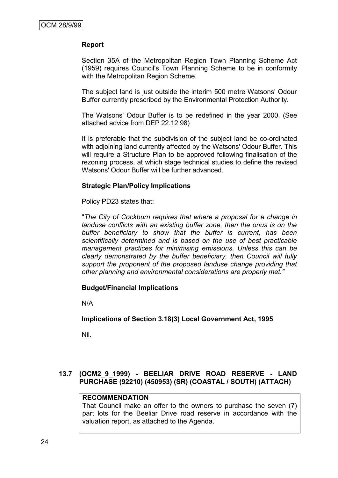## **Report**

Section 35A of the Metropolitan Region Town Planning Scheme Act (1959) requires Council's Town Planning Scheme to be in conformity with the Metropolitan Region Scheme.

The subject land is just outside the interim 500 metre Watsons' Odour Buffer currently prescribed by the Environmental Protection Authority.

The Watsons' Odour Buffer is to be redefined in the year 2000. (See attached advice from DEP 22.12.98)

It is preferable that the subdivision of the subject land be co-ordinated with adjoining land currently affected by the Watsons' Odour Buffer. This will require a Structure Plan to be approved following finalisation of the rezoning process, at which stage technical studies to define the revised Watsons' Odour Buffer will be further advanced.

## **Strategic Plan/Policy Implications**

Policy PD23 states that:

"*The City of Cockburn requires that where a proposal for a change in landuse conflicts with an existing buffer zone, then the onus is on the buffer beneficiary to show that the buffer is current, has been scientifically determined and is based on the use of best practicable management practices for minimising emissions. Unless this can be clearly demonstrated by the buffer beneficiary, then Council will fully support the proponent of the proposed landuse change providing that other planning and environmental considerations are properly met."*

## **Budget/Financial Implications**

N/A

## **Implications of Section 3.18(3) Local Government Act, 1995**

Nil.

# **13.7 (OCM2\_9\_1999) - BEELIAR DRIVE ROAD RESERVE - LAND PURCHASE (92210) (450953) (SR) (COASTAL / SOUTH) (ATTACH)**

## **RECOMMENDATION**

That Council make an offer to the owners to purchase the seven (7) part lots for the Beeliar Drive road reserve in accordance with the valuation report, as attached to the Agenda.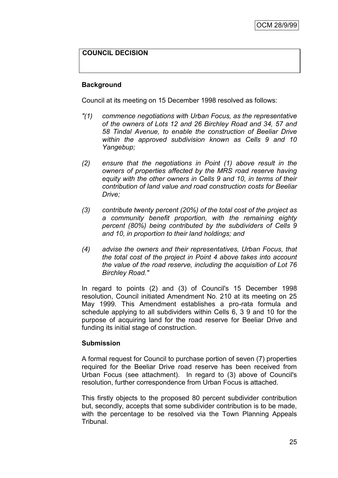# **COUNCIL DECISION**

#### **Background**

Council at its meeting on 15 December 1998 resolved as follows:

- *"(1) commence negotiations with Urban Focus, as the representative of the owners of Lots 12 and 26 Birchley Road and 34, 57 and 58 Tindal Avenue, to enable the construction of Beeliar Drive within the approved subdivision known as Cells 9 and 10 Yangebup;*
- *(2) ensure that the negotiations in Point (1) above result in the owners of properties affected by the MRS road reserve having equity with the other owners in Cells 9 and 10, in terms of their contribution of land value and road construction costs for Beeliar Drive;*
- *(3) contribute twenty percent (20%) of the total cost of the project as a community benefit proportion, with the remaining eighty percent (80%) being contributed by the subdividers of Cells 9 and 10, in proportion to their land holdings; and*
- *(4) advise the owners and their representatives, Urban Focus, that the total cost of the project in Point 4 above takes into account the value of the road reserve, including the acquisition of Lot 76 Birchley Road."*

In regard to points (2) and (3) of Council's 15 December 1998 resolution, Council initiated Amendment No. 210 at its meeting on 25 May 1999. This Amendment establishes a pro-rata formula and schedule applying to all subdividers within Cells 6, 3 9 and 10 for the purpose of acquiring land for the road reserve for Beeliar Drive and funding its initial stage of construction.

#### **Submission**

A formal request for Council to purchase portion of seven (7) properties required for the Beeliar Drive road reserve has been received from Urban Focus (see attachment). In regard to (3) above of Council's resolution, further correspondence from Urban Focus is attached.

This firstly objects to the proposed 80 percent subdivider contribution but, secondly, accepts that some subdivider contribution is to be made, with the percentage to be resolved via the Town Planning Appeals Tribunal.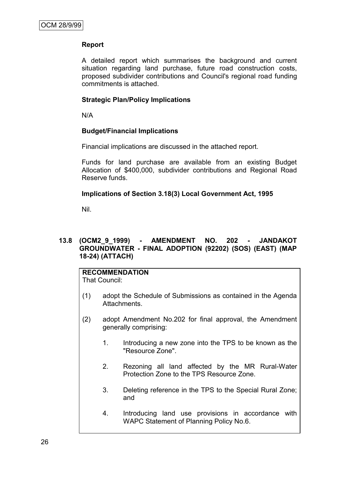# **Report**

A detailed report which summarises the background and current situation regarding land purchase, future road construction costs, proposed subdivider contributions and Council's regional road funding commitments is attached.

## **Strategic Plan/Policy Implications**

N/A

## **Budget/Financial Implications**

Financial implications are discussed in the attached report.

Funds for land purchase are available from an existing Budget Allocation of \$400,000, subdivider contributions and Regional Road Reserve funds.

## **Implications of Section 3.18(3) Local Government Act, 1995**

Nil.

## **13.8 (OCM2\_9\_1999) - AMENDMENT NO. 202 - JANDAKOT GROUNDWATER - FINAL ADOPTION (92202) (SOS) (EAST) (MAP 18-24) (ATTACH)**

# **RECOMMENDATION**

That Council:

- (1) adopt the Schedule of Submissions as contained in the Agenda Attachments.
- (2) adopt Amendment No.202 for final approval, the Amendment generally comprising:
	- 1. Introducing a new zone into the TPS to be known as the "Resource Zone".
	- 2. Rezoning all land affected by the MR Rural-Water Protection Zone to the TPS Resource Zone.
	- 3. Deleting reference in the TPS to the Special Rural Zone; and
	- 4. Introducing land use provisions in accordance with WAPC Statement of Planning Policy No.6.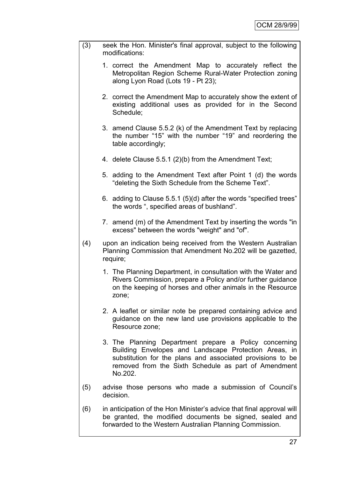- (3) seek the Hon. Minister's final approval, subject to the following modifications:
	- 1. correct the Amendment Map to accurately reflect the Metropolitan Region Scheme Rural-Water Protection zoning along Lyon Road (Lots 19 - Pt 23);
	- 2. correct the Amendment Map to accurately show the extent of existing additional uses as provided for in the Second Schedule;
	- 3. amend Clause 5.5.2 (k) of the Amendment Text by replacing the number "15" with the number "19" and reordering the table accordingly;
	- 4. delete Clause 5.5.1 (2)(b) from the Amendment Text;
	- 5. adding to the Amendment Text after Point 1 (d) the words "deleting the Sixth Schedule from the Scheme Text".
	- 6. adding to Clause 5.5.1 (5)(d) after the words "specified trees" the words ", specified areas of bushland".
	- 7. amend (m) of the Amendment Text by inserting the words "in excess" between the words "weight" and "of".
- (4) upon an indication being received from the Western Australian Planning Commission that Amendment No.202 will be gazetted, require;
	- 1. The Planning Department, in consultation with the Water and Rivers Commission, prepare a Policy and/or further guidance on the keeping of horses and other animals in the Resource zone;
	- 2. A leaflet or similar note be prepared containing advice and guidance on the new land use provisions applicable to the Resource zone;
	- 3. The Planning Department prepare a Policy concerning Building Envelopes and Landscape Protection Areas, in substitution for the plans and associated provisions to be removed from the Sixth Schedule as part of Amendment No.202.
- (5) advise those persons who made a submission of Council"s decision.
- (6) in anticipation of the Hon Minister"s advice that final approval will be granted, the modified documents be signed, sealed and forwarded to the Western Australian Planning Commission.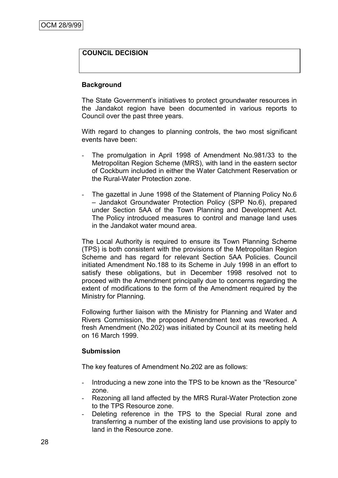# **COUNCIL DECISION**

#### **Background**

The State Government"s initiatives to protect groundwater resources in the Jandakot region have been documented in various reports to Council over the past three years.

With regard to changes to planning controls, the two most significant events have been:

- The promulgation in April 1998 of Amendment No.981/33 to the Metropolitan Region Scheme (MRS), with land in the eastern sector of Cockburn included in either the Water Catchment Reservation or the Rural-Water Protection zone.
- The gazettal in June 1998 of the Statement of Planning Policy No.6 – Jandakot Groundwater Protection Policy (SPP No.6), prepared under Section 5AA of the Town Planning and Development Act. The Policy introduced measures to control and manage land uses in the Jandakot water mound area.

The Local Authority is required to ensure its Town Planning Scheme (TPS) is both consistent with the provisions of the Metropolitan Region Scheme and has regard for relevant Section 5AA Policies. Council initiated Amendment No.188 to its Scheme in July 1998 in an effort to satisfy these obligations, but in December 1998 resolved not to proceed with the Amendment principally due to concerns regarding the extent of modifications to the form of the Amendment required by the Ministry for Planning.

Following further liaison with the Ministry for Planning and Water and Rivers Commission, the proposed Amendment text was reworked. A fresh Amendment (No.202) was initiated by Council at its meeting held on 16 March 1999.

#### **Submission**

The key features of Amendment No.202 are as follows:

- Introducing a new zone into the TPS to be known as the "Resource" zone.
- Rezoning all land affected by the MRS Rural-Water Protection zone to the TPS Resource zone.
- Deleting reference in the TPS to the Special Rural zone and transferring a number of the existing land use provisions to apply to land in the Resource zone.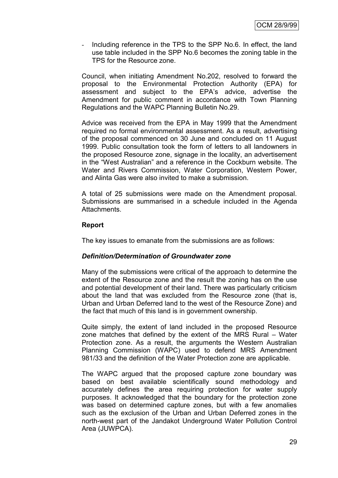- Including reference in the TPS to the SPP No.6. In effect, the land use table included in the SPP No.6 becomes the zoning table in the TPS for the Resource zone.

Council, when initiating Amendment No.202, resolved to forward the proposal to the Environmental Protection Authority (EPA) for assessment and subject to the EPA"s advice, advertise the Amendment for public comment in accordance with Town Planning Regulations and the WAPC Planning Bulletin No.29.

Advice was received from the EPA in May 1999 that the Amendment required no formal environmental assessment. As a result, advertising of the proposal commenced on 30 June and concluded on 11 August 1999. Public consultation took the form of letters to all landowners in the proposed Resource zone, signage in the locality, an advertisement in the "West Australian" and a reference in the Cockburn website. The Water and Rivers Commission, Water Corporation, Western Power, and Alinta Gas were also invited to make a submission.

A total of 25 submissions were made on the Amendment proposal. Submissions are summarised in a schedule included in the Agenda Attachments.

## **Report**

The key issues to emanate from the submissions are as follows:

## *Definition/Determination of Groundwater zone*

Many of the submissions were critical of the approach to determine the extent of the Resource zone and the result the zoning has on the use and potential development of their land. There was particularly criticism about the land that was excluded from the Resource zone (that is, Urban and Urban Deferred land to the west of the Resource Zone) and the fact that much of this land is in government ownership.

Quite simply, the extent of land included in the proposed Resource zone matches that defined by the extent of the MRS Rural – Water Protection zone. As a result, the arguments the Western Australian Planning Commission (WAPC) used to defend MRS Amendment 981/33 and the definition of the Water Protection zone are applicable.

The WAPC argued that the proposed capture zone boundary was based on best available scientifically sound methodology and accurately defines the area requiring protection for water supply purposes. It acknowledged that the boundary for the protection zone was based on determined capture zones, but with a few anomalies such as the exclusion of the Urban and Urban Deferred zones in the north-west part of the Jandakot Underground Water Pollution Control Area (JUWPCA).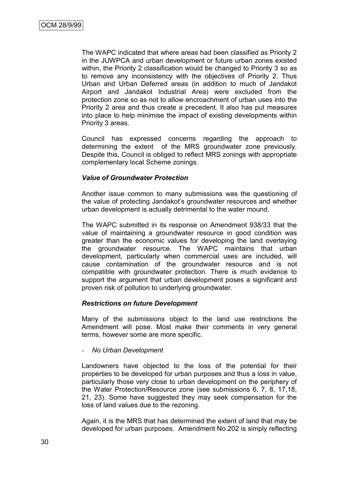The WAPC indicated that where areas had been classified as Priority 2 in the JUWPCA and urban development or future urban zones existed within, the Priority 2 classification would be changed to Priority 3 so as to remove any inconsistency with the objectives of Priority 2. Thus Urban and Urban Deferred areas (in addition to much of Jandakot Airport and Jandakot Industrial Area) were excluded from the protection zone so as not to allow encroachment of urban uses into the Priority 2 area and thus create a precedent. It also has put measures into place to help minimise the impact of existing developments within Priority 3 areas.

Council has expressed concerns regarding the approach to determining the extent of the MRS groundwater zone previously. Despite this, Council is obliged to reflect MRS zonings with appropriate complementary local Scheme zonings.

## *Value of Groundwater Protection*

Another issue common to many submissions was the questioning of the value of protecting Jandakot's groundwater resources and whether urban development is actually detrimental to the water mound.

The WAPC submitted in its response on Amendment 938/33 that the value of maintaining a groundwater resource in good condition was greater than the economic values for developing the land overlaying the groundwater resource. The WAPC maintains that urban development, particularly when commercial uses are included, will cause contamination of the groundwater resource and is not compatible with groundwater protection. There is much evidence to support the argument that urban development poses a significant and proven risk of pollution to underlying groundwater.

#### *Restrictions on future Development*

Many of the submissions object to the land use restrictions the Amendment will pose. Most make their comments in very general terms, however some are more specific.

#### - *No Urban Development*

Landowners have objected to the loss of the potential for their properties to be developed for urban purposes and thus a loss in value, particularly those very close to urban development on the periphery of the Water Protection/Resource zone (see submissions 6, 7, 8, 17,18, 21, 23). Some have suggested they may seek compensation for the loss of land values due to the rezoning.

Again, it is the MRS that has determined the extent of land that may be developed for urban purposes. Amendment No.202 is simply reflecting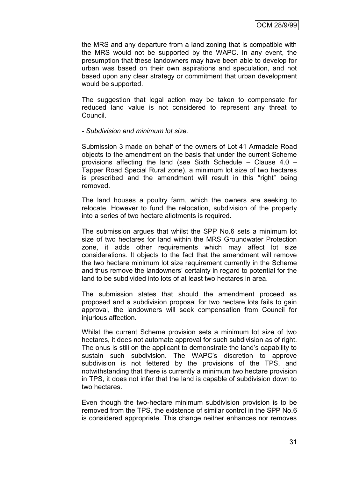the MRS and any departure from a land zoning that is compatible with the MRS would not be supported by the WAPC. In any event, the presumption that these landowners may have been able to develop for urban was based on their own aspirations and speculation, and not based upon any clear strategy or commitment that urban development would be supported.

The suggestion that legal action may be taken to compensate for reduced land value is not considered to represent any threat to Council.

#### *- Subdivision and minimum lot size.*

Submission 3 made on behalf of the owners of Lot 41 Armadale Road objects to the amendment on the basis that under the current Scheme provisions affecting the land (see Sixth Schedule – Clause 4.0 – Tapper Road Special Rural zone), a minimum lot size of two hectares is prescribed and the amendment will result in this "right" being removed.

The land houses a poultry farm, which the owners are seeking to relocate. However to fund the relocation, subdivision of the property into a series of two hectare allotments is required.

The submission argues that whilst the SPP No.6 sets a minimum lot size of two hectares for land within the MRS Groundwater Protection zone, it adds other requirements which may affect lot size considerations. It objects to the fact that the amendment will remove the two hectare minimum lot size requirement currently in the Scheme and thus remove the landowners' certainty in regard to potential for the land to be subdivided into lots of at least two hectares in area.

The submission states that should the amendment proceed as proposed and a subdivision proposal for two hectare lots fails to gain approval, the landowners will seek compensation from Council for injurious affection.

Whilst the current Scheme provision sets a minimum lot size of two hectares, it does not automate approval for such subdivision as of right. The onus is still on the applicant to demonstrate the land"s capability to sustain such subdivision. The WAPC"s discretion to approve subdivision is not fettered by the provisions of the TPS, and notwithstanding that there is currently a minimum two hectare provision in TPS, it does not infer that the land is capable of subdivision down to two hectares.

Even though the two-hectare minimum subdivision provision is to be removed from the TPS, the existence of similar control in the SPP No.6 is considered appropriate. This change neither enhances nor removes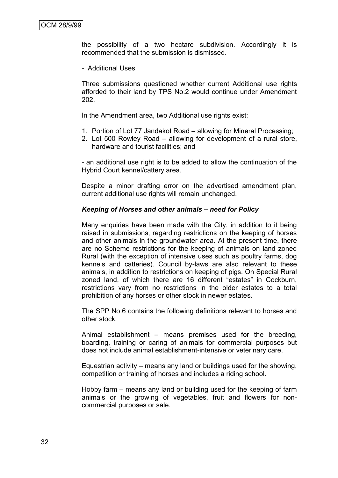the possibility of a two hectare subdivision. Accordingly it is recommended that the submission is dismissed.

- Additional Uses

Three submissions questioned whether current Additional use rights afforded to their land by TPS No.2 would continue under Amendment 202.

In the Amendment area, two Additional use rights exist:

- 1. Portion of Lot 77 Jandakot Road allowing for Mineral Processing;
- 2. Lot 500 Rowley Road allowing for development of a rural store, hardware and tourist facilities; and

- an additional use right is to be added to allow the continuation of the Hybrid Court kennel/cattery area.

Despite a minor drafting error on the advertised amendment plan, current additional use rights will remain unchanged.

#### *Keeping of Horses and other animals – need for Policy*

Many enquiries have been made with the City, in addition to it being raised in submissions, regarding restrictions on the keeping of horses and other animals in the groundwater area. At the present time, there are no Scheme restrictions for the keeping of animals on land zoned Rural (with the exception of intensive uses such as poultry farms, dog kennels and catteries). Council by-laws are also relevant to these animals, in addition to restrictions on keeping of pigs. On Special Rural zoned land, of which there are 16 different "estates" in Cockburn, restrictions vary from no restrictions in the older estates to a total prohibition of any horses or other stock in newer estates.

The SPP No.6 contains the following definitions relevant to horses and other stock:

Animal establishment – means premises used for the breeding, boarding, training or caring of animals for commercial purposes but does not include animal establishment-intensive or veterinary care.

Equestrian activity – means any land or buildings used for the showing, competition or training of horses and includes a riding school.

Hobby farm – means any land or building used for the keeping of farm animals or the growing of vegetables, fruit and flowers for noncommercial purposes or sale.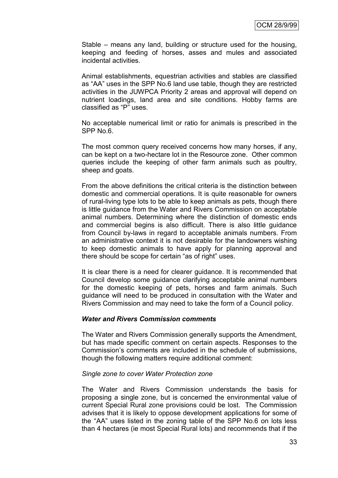Stable – means any land, building or structure used for the housing, keeping and feeding of horses, asses and mules and associated incidental activities.

Animal establishments, equestrian activities and stables are classified as "AA" uses in the SPP No.6 land use table, though they are restricted activities in the JUWPCA Priority 2 areas and approval will depend on nutrient loadings, land area and site conditions. Hobby farms are classified as "P" uses.

No acceptable numerical limit or ratio for animals is prescribed in the SPP No.6.

The most common query received concerns how many horses, if any, can be kept on a two-hectare lot in the Resource zone. Other common queries include the keeping of other farm animals such as poultry, sheep and goats.

From the above definitions the critical criteria is the distinction between domestic and commercial operations. It is quite reasonable for owners of rural-living type lots to be able to keep animals as pets, though there is little guidance from the Water and Rivers Commission on acceptable animal numbers. Determining where the distinction of domestic ends and commercial begins is also difficult. There is also little guidance from Council by-laws in regard to acceptable animals numbers. From an administrative context it is not desirable for the landowners wishing to keep domestic animals to have apply for planning approval and there should be scope for certain "as of right" uses.

It is clear there is a need for clearer guidance. It is recommended that Council develop some guidance clarifying acceptable animal numbers for the domestic keeping of pets, horses and farm animals. Such guidance will need to be produced in consultation with the Water and Rivers Commission and may need to take the form of a Council policy.

#### *Water and Rivers Commission comments*

The Water and Rivers Commission generally supports the Amendment, but has made specific comment on certain aspects. Responses to the Commission"s comments are included in the schedule of submissions, though the following matters require additional comment:

#### *Single zone to cover Water Protection zone*

The Water and Rivers Commission understands the basis for proposing a single zone, but is concerned the environmental value of current Special Rural zone provisions could be lost. The Commission advises that it is likely to oppose development applications for some of the "AA" uses listed in the zoning table of the SPP No.6 on lots less than 4 hectares (ie most Special Rural lots) and recommends that if the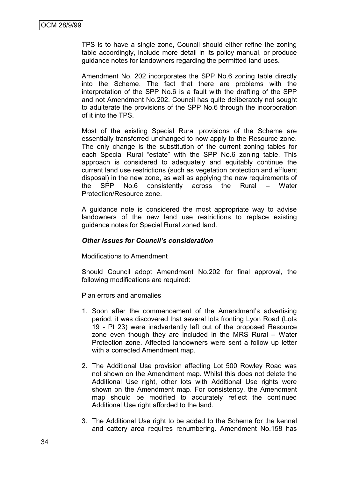TPS is to have a single zone, Council should either refine the zoning table accordingly, include more detail in its policy manual, or produce guidance notes for landowners regarding the permitted land uses.

Amendment No. 202 incorporates the SPP No.6 zoning table directly into the Scheme. The fact that there are problems with the interpretation of the SPP No.6 is a fault with the drafting of the SPP and not Amendment No.202. Council has quite deliberately not sought to adulterate the provisions of the SPP No.6 through the incorporation of it into the TPS.

Most of the existing Special Rural provisions of the Scheme are essentially transferred unchanged to now apply to the Resource zone. The only change is the substitution of the current zoning tables for each Special Rural "estate" with the SPP No.6 zoning table. This approach is considered to adequately and equitably continue the current land use restrictions (such as vegetation protection and effluent disposal) in the new zone, as well as applying the new requirements of the SPP No.6 consistently across the Rural – Water Protection/Resource zone.

A guidance note is considered the most appropriate way to advise landowners of the new land use restrictions to replace existing guidance notes for Special Rural zoned land.

#### *Other Issues for Council's consideration*

Modifications to Amendment

Should Council adopt Amendment No.202 for final approval, the following modifications are required:

Plan errors and anomalies

- 1. Soon after the commencement of the Amendment's advertising period, it was discovered that several lots fronting Lyon Road (Lots 19 - Pt 23) were inadvertently left out of the proposed Resource zone even though they are included in the MRS Rural – Water Protection zone. Affected landowners were sent a follow up letter with a corrected Amendment map.
- 2. The Additional Use provision affecting Lot 500 Rowley Road was not shown on the Amendment map. Whilst this does not delete the Additional Use right, other lots with Additional Use rights were shown on the Amendment map. For consistency, the Amendment map should be modified to accurately reflect the continued Additional Use right afforded to the land.
- 3. The Additional Use right to be added to the Scheme for the kennel and cattery area requires renumbering. Amendment No.158 has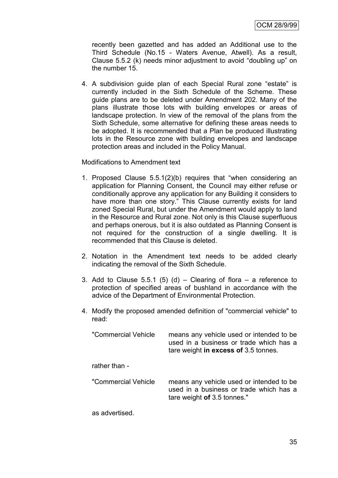recently been gazetted and has added an Additional use to the Third Schedule (No.15 - Waters Avenue, Atwell). As a result, Clause 5.5.2 (k) needs minor adjustment to avoid "doubling up" on the number 15.

4. A subdivision guide plan of each Special Rural zone "estate" is currently included in the Sixth Schedule of the Scheme. These guide plans are to be deleted under Amendment 202. Many of the plans illustrate those lots with building envelopes or areas of landscape protection. In view of the removal of the plans from the Sixth Schedule, some alternative for defining these areas needs to be adopted. It is recommended that a Plan be produced illustrating lots in the Resource zone with building envelopes and landscape protection areas and included in the Policy Manual.

Modifications to Amendment text

- 1. Proposed Clause 5.5.1(2)(b) requires that "when considering an application for Planning Consent, the Council may either refuse or conditionally approve any application for any Building it considers to have more than one story." This Clause currently exists for land zoned Special Rural, but under the Amendment would apply to land in the Resource and Rural zone. Not only is this Clause superfluous and perhaps onerous, but it is also outdated as Planning Consent is not required for the construction of a single dwelling. It is recommended that this Clause is deleted.
- 2. Notation in the Amendment text needs to be added clearly indicating the removal of the Sixth Schedule.
- 3. Add to Clause 5.5.1 (5) (d) Clearing of flora a reference to protection of specified areas of bushland in accordance with the advice of the Department of Environmental Protection.
- 4. Modify the proposed amended definition of "commercial vehicle" to read:

| "Commercial Vehicle" | means any vehicle used or intended to be.<br>used in a business or trade which has a<br>tare weight in excess of 3.5 tonnes. |
|----------------------|------------------------------------------------------------------------------------------------------------------------------|
| rather than -        |                                                                                                                              |
| "Commercial Vehicle  | means any vehicle used or intended to be<br>used in a business or trade which has a<br>tare weight of 3.5 tonnes."           |
| as advertised.       |                                                                                                                              |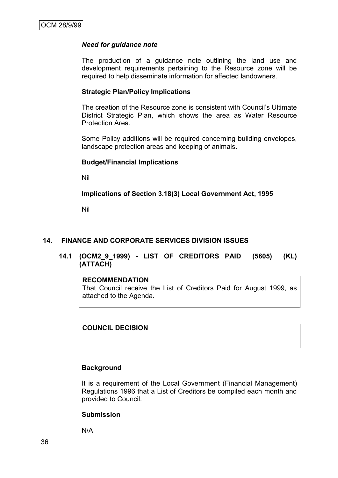#### *Need for guidance note*

The production of a guidance note outlining the land use and development requirements pertaining to the Resource zone will be required to help disseminate information for affected landowners.

#### **Strategic Plan/Policy Implications**

The creation of the Resource zone is consistent with Council"s Ultimate District Strategic Plan, which shows the area as Water Resource Protection Area.

Some Policy additions will be required concerning building envelopes, landscape protection areas and keeping of animals.

#### **Budget/Financial Implications**

Nil

#### **Implications of Section 3.18(3) Local Government Act, 1995**

Nil

#### **14. FINANCE AND CORPORATE SERVICES DIVISION ISSUES**

## **14.1 (OCM2\_9\_1999) - LIST OF CREDITORS PAID (5605) (KL) (ATTACH)**

#### **RECOMMENDATION**

That Council receive the List of Creditors Paid for August 1999, as attached to the Agenda.

**COUNCIL DECISION**

#### **Background**

It is a requirement of the Local Government (Financial Management) Regulations 1996 that a List of Creditors be compiled each month and provided to Council.

#### **Submission**

N/A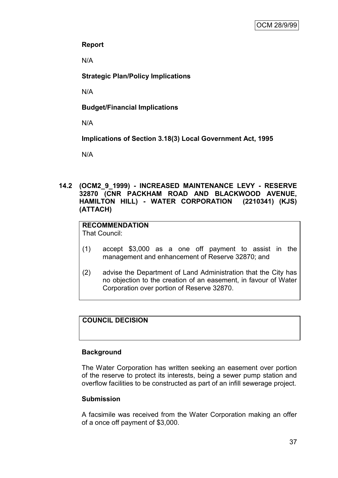# **Report**

N/A

**Strategic Plan/Policy Implications**

N/A

# **Budget/Financial Implications**

N/A

**Implications of Section 3.18(3) Local Government Act, 1995**

N/A

## **14.2 (OCM2\_9\_1999) - INCREASED MAINTENANCE LEVY - RESERVE 32870 (CNR PACKHAM ROAD AND BLACKWOOD AVENUE, HAMILTON HILL) - WATER CORPORATION (2210341) (KJS) (ATTACH)**

# **RECOMMENDATION**

That Council:

- (1) accept \$3,000 as a one off payment to assist in the management and enhancement of Reserve 32870; and
- (2) advise the Department of Land Administration that the City has no objection to the creation of an easement, in favour of Water Corporation over portion of Reserve 32870.

# **COUNCIL DECISION**

# **Background**

The Water Corporation has written seeking an easement over portion of the reserve to protect its interests, being a sewer pump station and overflow facilities to be constructed as part of an infill sewerage project.

# **Submission**

A facsimile was received from the Water Corporation making an offer of a once off payment of \$3,000.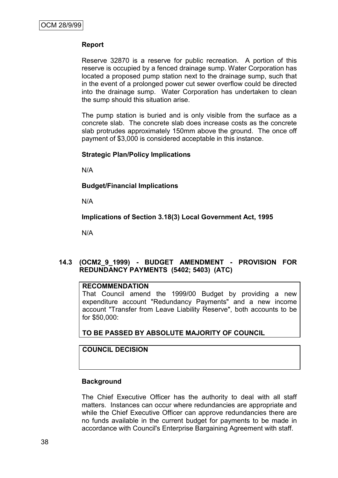## **Report**

Reserve 32870 is a reserve for public recreation. A portion of this reserve is occupied by a fenced drainage sump. Water Corporation has located a proposed pump station next to the drainage sump, such that in the event of a prolonged power cut sewer overflow could be directed into the drainage sump. Water Corporation has undertaken to clean the sump should this situation arise.

The pump station is buried and is only visible from the surface as a concrete slab. The concrete slab does increase costs as the concrete slab protrudes approximately 150mm above the ground. The once off payment of \$3,000 is considered acceptable in this instance.

#### **Strategic Plan/Policy Implications**

N/A

**Budget/Financial Implications**

N/A

**Implications of Section 3.18(3) Local Government Act, 1995**

N/A

## **14.3 (OCM2\_9\_1999) - BUDGET AMENDMENT - PROVISION FOR REDUNDANCY PAYMENTS (5402; 5403) (ATC)**

### **RECOMMENDATION**

That Council amend the 1999/00 Budget by providing a new expenditure account "Redundancy Payments" and a new income account "Transfer from Leave Liability Reserve", both accounts to be for \$50,000:

**TO BE PASSED BY ABSOLUTE MAJORITY OF COUNCIL**

#### **COUNCIL DECISION**

#### **Background**

The Chief Executive Officer has the authority to deal with all staff matters. Instances can occur where redundancies are appropriate and while the Chief Executive Officer can approve redundancies there are no funds available in the current budget for payments to be made in accordance with Council's Enterprise Bargaining Agreement with staff.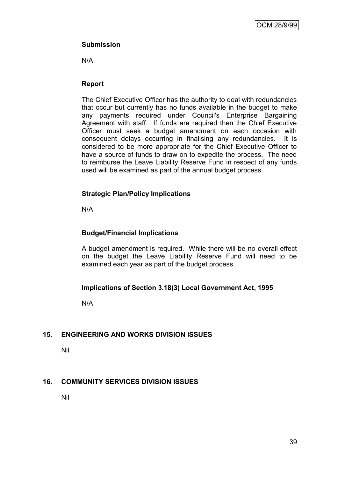# **Submission**

N/A

# **Report**

The Chief Executive Officer has the authority to deal with redundancies that occur but currently has no funds available in the budget to make any payments required under Council's Enterprise Bargaining Agreement with staff. If funds are required then the Chief Executive Officer must seek a budget amendment on each occasion with consequent delays occurring in finalising any redundancies. It is considered to be more appropriate for the Chief Executive Officer to have a source of funds to draw on to expedite the process. The need to reimburse the Leave Liability Reserve Fund in respect of any funds used will be examined as part of the annual budget process.

# **Strategic Plan/Policy Implications**

N/A

# **Budget/Financial Implications**

A budget amendment is required. While there will be no overall effect on the budget the Leave Liability Reserve Fund will need to be examined each year as part of the budget process.

# **Implications of Section 3.18(3) Local Government Act, 1995**

N/A

# **15. ENGINEERING AND WORKS DIVISION ISSUES**

Nil

# **16. COMMUNITY SERVICES DIVISION ISSUES**

Nil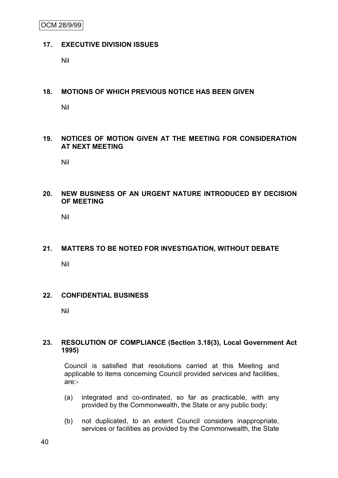OCM 28/9/99

#### **17. EXECUTIVE DIVISION ISSUES**

Nil

#### **18. MOTIONS OF WHICH PREVIOUS NOTICE HAS BEEN GIVEN**

Nil

## **19. NOTICES OF MOTION GIVEN AT THE MEETING FOR CONSIDERATION AT NEXT MEETING**

Nil

## **20. NEW BUSINESS OF AN URGENT NATURE INTRODUCED BY DECISION OF MEETING**

Nil

# **21. MATTERS TO BE NOTED FOR INVESTIGATION, WITHOUT DEBATE**

Nil

## **22. CONFIDENTIAL BUSINESS**

Nil

## **23. RESOLUTION OF COMPLIANCE (Section 3.18(3), Local Government Act 1995)**

Council is satisfied that resolutions carried at this Meeting and applicable to items concerning Council provided services and facilities, are:-

- (a) integrated and co-ordinated, so far as practicable, with any provided by the Commonwealth, the State or any public body;
- (b) not duplicated, to an extent Council considers inappropriate, services or facilities as provided by the Commonwealth, the State